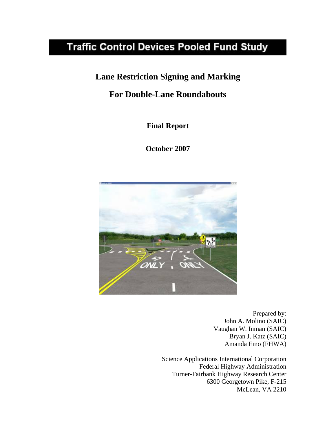# **Traffic Control Devices Pooled Fund Study**

## **Lane Restriction Signing and Marking**

## **For Double-Lane Roundabouts**

**Final Report** 

**October 2007**



Prepared by: John A. Molino (SAIC) Vaughan W. Inman (SAIC) Bryan J. Katz (SAIC) Amanda Emo (FHWA)

Science Applications International Corporation Federal Highway Administration Turner-Fairbank Highway Research Center 6300 Georgetown Pike, F-215 McLean, VA 2210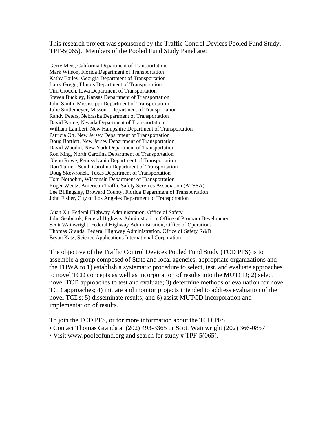This research project was sponsored by the Traffic Control Devices Pooled Fund Study, TPF-5(065). Members of the Pooled Fund Study Panel are:

Gerry Meis, California Department of Transportation Mark Wilson, Florida Department of Transportation Kathy Bailey, Georgia Department of Transportation Larry Gregg, Illinois Department of Transportation Tim Crouch, Iowa Department of Transportation Steven Buckley, Kansas Department of Transportation John Smith, Mississippi Department of Transportation Julie Stotlemeyer, Missouri Department of Transportation Randy Peters, Nebraska Department of Transportation David Partee, Nevada Department of Transportation William Lambert, New Hampshire Department of Transportation Patricia Ott, New Jersey Department of Transportation Doug Bartlett, New Jersey Department of Transportation David Woodin, New York Department of Transportation Ron King, North Carolina Department of Transportation Glenn Rowe, Pennsylvania Department of Transportation Don Turner, South Carolina Department of Transportation Doug Skowronek, Texas Department of Transportation Tom Notbohm, Wisconsin Department of Transportation Roger Wentz, American Traffic Safety Services Association (ATSSA) Lee Billingsley, Broward County, Florida Department of Transportation John Fisher, City of Los Angeles Department of Transportation

Guan Xu, Federal Highway Administration, Office of Safety John Seabrook, Federal Highway Administration, Office of Program Development Scott Wainwright, Federal Highway Administration, Office of Operations Thomas Granda, Federal Highway Administration, Office of Safety R&D Bryan Katz, Science Applications International Corporation

The objective of the Traffic Control Devices Pooled Fund Study (TCD PFS) is to assemble a group composed of State and local agencies, appropriate organizations and the FHWA to 1) establish a systematic procedure to select, test, and evaluate approaches to novel TCD concepts as well as incorporation of results into the MUTCD; 2) select novel TCD approaches to test and evaluate; 3) determine methods of evaluation for novel TCD approaches; 4) initiate and monitor projects intended to address evaluation of the novel TCDs; 5) disseminate results; and 6) assist MUTCD incorporation and implementation of results.

To join the TCD PFS, or for more information about the TCD PFS

- Contact Thomas Granda at (202) 493-3365 or Scott Wainwright (202) 366-0857
- Visit www.pooledfund.org and search for study # TPF-5(065).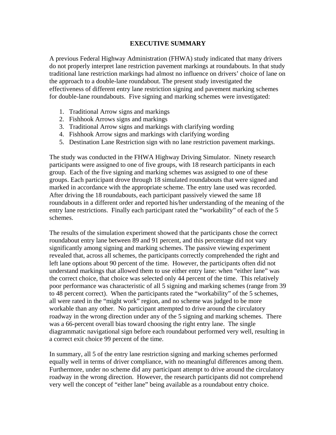#### **EXECUTIVE SUMMARY**

A previous Federal Highway Administration (FHWA) study indicated that many drivers do not properly interpret lane restriction pavement markings at roundabouts. In that study traditional lane restriction markings had almost no influence on drivers' choice of lane on the approach to a double-lane roundabout. The present study investigated the effectiveness of different entry lane restriction signing and pavement marking schemes for double-lane roundabouts. Five signing and marking schemes were investigated:

- 1. Traditional Arrow signs and markings
- 2. Fishhook Arrows signs and markings
- 3. Traditional Arrow signs and markings with clarifying wording
- 4. Fishhook Arrow signs and markings with clarifying wording
- 5. Destination Lane Restriction sign with no lane restriction pavement markings.

The study was conducted in the FHWA Highway Driving Simulator. Ninety research participants were assigned to one of five groups, with 18 research participants in each group. Each of the five signing and marking schemes was assigned to one of these groups. Each participant drove through 18 simulated roundabouts that were signed and marked in accordance with the appropriate scheme. The entry lane used was recorded. After driving the 18 roundabouts, each participant passively viewed the same 18 roundabouts in a different order and reported his/her understanding of the meaning of the entry lane restrictions. Finally each participant rated the "workability" of each of the 5 schemes.

The results of the simulation experiment showed that the participants chose the correct roundabout entry lane between 89 and 91 percent, and this percentage did not vary significantly among signing and marking schemes. The passive viewing experiment revealed that, across all schemes, the participants correctly comprehended the right and left lane options about 90 percent of the time. However, the participants often did not understand markings that allowed them to use either entry lane: when "either lane" was the correct choice, that choice was selected only 44 percent of the time. This relatively poor performance was characteristic of all 5 signing and marking schemes (range from 39 to 48 percent correct). When the participants rated the "workability" of the 5 schemes, all were rated in the "might work" region, and no scheme was judged to be more workable than any other. No participant attempted to drive around the circulatory roadway in the wrong direction under any of the 5 signing and marking schemes. There was a 66-percent overall bias toward choosing the right entry lane. The single diagrammatic navigational sign before each roundabout performed very well, resulting in a correct exit choice 99 percent of the time.

In summary, all 5 of the entry lane restriction signing and marking schemes performed equally well in terms of driver compliance, with no meaningful differences among them. Furthermore, under no scheme did any participant attempt to drive around the circulatory roadway in the wrong direction. However, the research participants did not comprehend very well the concept of "either lane" being available as a roundabout entry choice.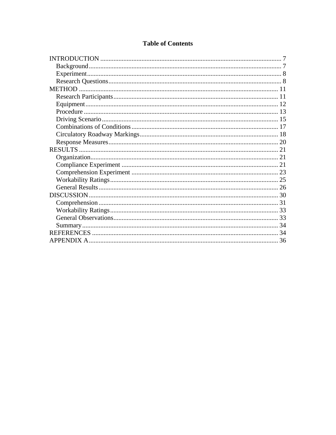## **Table of Contents**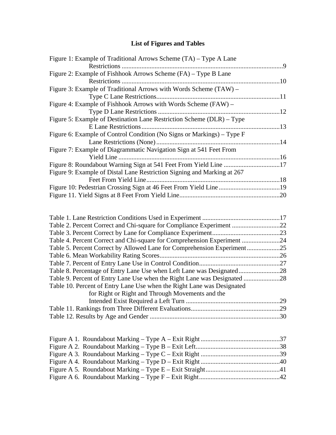## **List of Figures and Tables**

| Figure 1: Example of Traditional Arrows Scheme (TA) – Type A Lane       |     |
|-------------------------------------------------------------------------|-----|
|                                                                         |     |
| Figure 2: Example of Fishhook Arrows Scheme (FA) – Type B Lane          |     |
|                                                                         |     |
| Figure 3: Example of Traditional Arrows with Words Scheme (TAW) –       |     |
|                                                                         |     |
| Figure 4: Example of Fishhook Arrows with Words Scheme (FAW) –          |     |
| Type D Lane Restrictions                                                | .12 |
| Figure 5: Example of Destination Lane Restriction Scheme (DLR) – Type   |     |
|                                                                         | 13  |
| Figure 6: Example of Control Condition (No Signs or Markings) – Type F  |     |
|                                                                         |     |
| Figure 7: Example of Diagrammatic Navigation Sign at 541 Feet From      |     |
|                                                                         |     |
| Figure 8: Roundabout Warning Sign at 541 Feet From Yield Line 17        |     |
| Figure 9: Example of Distal Lane Restriction Signing and Marking at 267 |     |
| Feet From Yield Line.                                                   |     |
|                                                                         |     |
|                                                                         |     |

| Table 4. Percent Correct and Chi-square for Comprehension Experiment   |     |
|------------------------------------------------------------------------|-----|
|                                                                        |     |
|                                                                        | .26 |
|                                                                        | .27 |
| Table 8. Percentage of Entry Lane Use when Left Lane was Designated28  |     |
|                                                                        |     |
| Table 10. Percent of Entry Lane Use when the Right Lane was Designated |     |
| for Right or Right and Through Movements and the                       |     |
|                                                                        | .29 |
|                                                                        | .29 |
|                                                                        | .30 |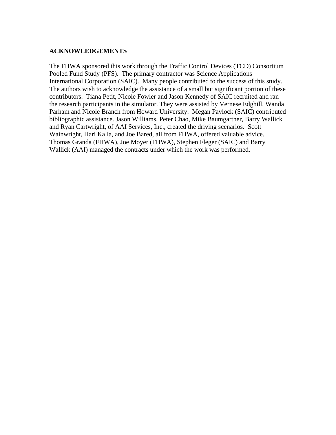#### **ACKNOWLEDGEMENTS**

The FHWA sponsored this work through the Traffic Control Devices (TCD) Consortium Pooled Fund Study (PFS). The primary contractor was Science Applications International Corporation (SAIC). Many people contributed to the success of this study. The authors wish to acknowledge the assistance of a small but significant portion of these contributors. Tiana Petit, Nicole Fowler and Jason Kennedy of SAIC recruited and ran the research participants in the simulator. They were assisted by Vernese Edghill, Wanda Parham and Nicole Branch from Howard University. Megan Pavlock (SAIC) contributed bibliographic assistance. Jason Williams, Peter Chao, Mike Baumgartner, Barry Wallick and Ryan Cartwright, of AAI Services, Inc., created the driving scenarios. Scott Wainwright, Hari Kalla, and Joe Bared, all from FHWA, offered valuable advice. Thomas Granda (FHWA), Joe Moyer (FHWA), Stephen Fleger (SAIC) and Barry Wallick (AAI) managed the contracts under which the work was performed.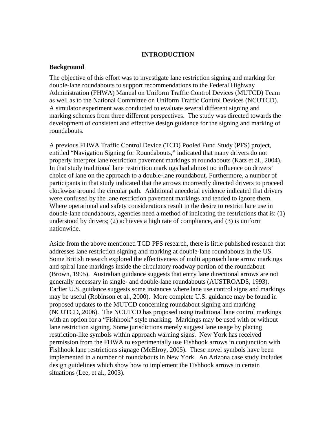#### **INTRODUCTION**

#### **Background**

The objective of this effort was to investigate lane restriction signing and marking for double-lane roundabouts to support recommendations to the Federal Highway Administration (FHWA) Manual on Uniform Traffic Control Devices (MUTCD) Team as well as to the National Committee on Uniform Traffic Control Devices (NCUTCD). A simulator experiment was conducted to evaluate several different signing and marking schemes from three different perspectives. The study was directed towards the development of consistent and effective design guidance for the signing and marking of roundabouts.

A previous FHWA Traffic Control Device (TCD) Pooled Fund Study (PFS) project, entitled "Navigation Signing for Roundabouts," indicated that many drivers do not properly interpret lane restriction pavement markings at roundabouts (Katz et al., 2004). In that study traditional lane restriction markings had almost no influence on drivers' choice of lane on the approach to a double-lane roundabout. Furthermore, a number of participants in that study indicated that the arrows incorrectly directed drivers to proceed clockwise around the circular path. Additional anecdotal evidence indicated that drivers were confused by the lane restriction pavement markings and tended to ignore them. Where operational and safety considerations result in the desire to restrict lane use in double-lane roundabouts, agencies need a method of indicating the restrictions that is: (1) understood by drivers; (2) achieves a high rate of compliance, and (3) is uniform nationwide.

Aside from the above mentioned TCD PFS research, there is little published research that addresses lane restriction signing and marking at double-lane roundabouts in the US. Some British research explored the effectiveness of multi approach lane arrow markings and spiral lane markings inside the circulatory roadway portion of the roundabout (Brown, 1995). Australian guidance suggests that entry lane directional arrows are not generally necessary in single- and double-lane roundabouts (AUSTROADS, 1993). Earlier U.S. guidance suggests some instances where lane use control signs and markings may be useful (Robinson et al., 2000). More complete U.S. guidance may be found in proposed updates to the MUTCD concerning roundabout signing and marking (NCUTCD, 2006). The NCUTCD has proposed using traditional lane control markings with an option for a "Fishhook" style marking. Markings may be used with or without lane restriction signing. Some jurisdictions merely suggest lane usage by placing restriction-like symbols within approach warning signs. New York has received permission from the FHWA to experimentally use Fishhook arrows in conjunction with Fishhook lane restrictions signage (McElroy, 2005). These novel symbols have been implemented in a number of roundabouts in New York. An Arizona case study includes design guidelines which show how to implement the Fishhook arrows in certain situations (Lee, et al., 2003).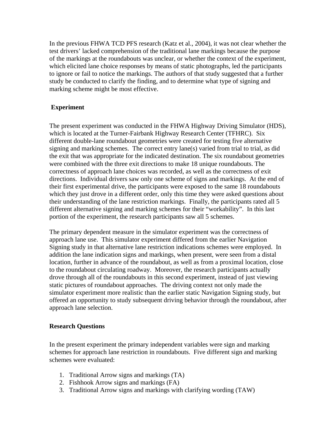In the previous FHWA TCD PFS research (Katz et al., 2004), it was not clear whether the test drivers' lacked comprehension of the traditional lane markings because the purpose of the markings at the roundabouts was unclear, or whether the context of the experiment, which elicited lane choice responses by means of static photographs, led the participants to ignore or fail to notice the markings. The authors of that study suggested that a further study be conducted to clarify the finding, and to determine what type of signing and marking scheme might be most effective.

#### **Experiment**

The present experiment was conducted in the FHWA Highway Driving Simulator (HDS), which is located at the Turner-Fairbank Highway Research Center (TFHRC). Six different double-lane roundabout geometries were created for testing five alternative signing and marking schemes. The correct entry lane(s) varied from trial to trial, as did the exit that was appropriate for the indicated destination. The six roundabout geometries were combined with the three exit directions to make 18 unique roundabouts. The correctness of approach lane choices was recorded, as well as the correctness of exit directions. Individual drivers saw only one scheme of signs and markings. At the end of their first experimental drive, the participants were exposed to the same 18 roundabouts which they just drove in a different order, only this time they were asked questions about their understanding of the lane restriction markings. Finally, the participants rated all 5 different alternative signing and marking schemes for their "workability". In this last portion of the experiment, the research participants saw all 5 schemes.

The primary dependent measure in the simulator experiment was the correctness of approach lane use. This simulator experiment differed from the earlier Navigation Signing study in that alternative lane restriction indications schemes were employed. In addition the lane indication signs and markings, when present, were seen from a distal location, further in advance of the roundabout, as well as from a proximal location, close to the roundabout circulating roadway. Moreover, the research participants actually drove through all of the roundabouts in this second experiment, instead of just viewing static pictures of roundabout approaches. The driving context not only made the simulator experiment more realistic than the earlier static Navigation Signing study, but offered an opportunity to study subsequent driving behavior through the roundabout, after approach lane selection.

#### **Research Questions**

In the present experiment the primary independent variables were sign and marking schemes for approach lane restriction in roundabouts. Five different sign and marking schemes were evaluated:

- 1. Traditional Arrow signs and markings (TA)
- 2. Fishhook Arrow signs and markings (FA)
- 3. Traditional Arrow signs and markings with clarifying wording (TAW)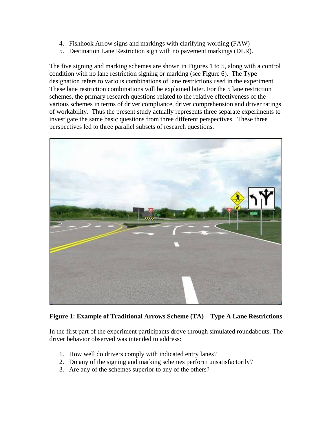- 4. Fishhook Arrow signs and markings with clarifying wording (FAW)
- 5. Destination Lane Restriction sign with no pavement markings (DLR).

The five signing and marking schemes are shown in Figures 1 to 5, along with a control condition with no lane restriction signing or marking (see Figure 6). The Type designation refers to various combinations of lane restrictions used in the experiment. These lane restriction combinations will be explained later. For the 5 lane restriction schemes, the primary research questions related to the relative effectiveness of the various schemes in terms of driver compliance, driver comprehension and driver ratings of workability. Thus the present study actually represents three separate experiments to investigate the same basic questions from three different perspectives. These three perspectives led to three parallel subsets of research questions.



#### **Figure 1: Example of Traditional Arrows Scheme (TA) – Type A Lane Restrictions**

In the first part of the experiment participants drove through simulated roundabouts. The driver behavior observed was intended to address:

- 1. How well do drivers comply with indicated entry lanes?
- 2. Do any of the signing and marking schemes perform unsatisfactorily?
- 3. Are any of the schemes superior to any of the others?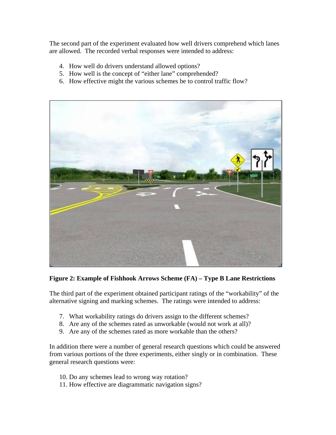The second part of the experiment evaluated how well drivers comprehend which lanes are allowed. The recorded verbal responses were intended to address:

- 4. How well do drivers understand allowed options?
- 5. How well is the concept of "either lane" comprehended?
- 6. How effective might the various schemes be to control traffic flow?



**Figure 2: Example of Fishhook Arrows Scheme (FA) – Type B Lane Restrictions** 

The third part of the experiment obtained participant ratings of the "workability" of the alternative signing and marking schemes. The ratings were intended to address:

- 7. What workability ratings do drivers assign to the different schemes?
- 8. Are any of the schemes rated as unworkable (would not work at all)?
- 9. Are any of the schemes rated as more workable than the others?

In addition there were a number of general research questions which could be answered from various portions of the three experiments, either singly or in combination. These general research questions were:

- 10. Do any schemes lead to wrong way rotation?
- 11. How effective are diagrammatic navigation signs?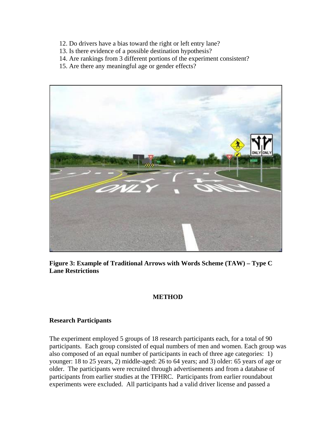- 12. Do drivers have a bias toward the right or left entry lane?
- 13. Is there evidence of a possible destination hypothesis?
- 14. Are rankings from 3 different portions of the experiment consistent?
- 15. Are there any meaningful age or gender effects?



**Figure 3: Example of Traditional Arrows with Words Scheme (TAW) – Type C Lane Restrictions** 

## **METHOD**

#### **Research Participants**

The experiment employed 5 groups of 18 research participants each, for a total of 90 participants. Each group consisted of equal numbers of men and women. Each group was also composed of an equal number of participants in each of three age categories: 1) younger: 18 to 25 years, 2) middle-aged: 26 to 64 years; and 3) older: 65 years of age or older. The participants were recruited through advertisements and from a database of participants from earlier studies at the TFHRC. Participants from earlier roundabout experiments were excluded. All participants had a valid driver license and passed a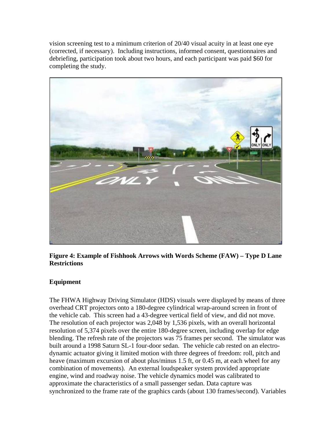vision screening test to a minimum criterion of 20/40 visual acuity in at least one eye (corrected, if necessary). Including instructions, informed consent, questionnaires and debriefing, participation took about two hours, and each participant was paid \$60 for completing the study.



**Figure 4: Example of Fishhook Arrows with Words Scheme (FAW) – Type D Lane Restrictions** 

## **Equipment**

The FHWA Highway Driving Simulator (HDS) visuals were displayed by means of three overhead CRT projectors onto a 180-degree cylindrical wrap-around screen in front of the vehicle cab. This screen had a 43-degree vertical field of view, and did not move. The resolution of each projector was 2,048 by 1,536 pixels, with an overall horizontal resolution of 5,374 pixels over the entire 180-degree screen, including overlap for edge blending. The refresh rate of the projectors was 75 frames per second. The simulator was built around a 1998 Saturn SL-1 four-door sedan. The vehicle cab rested on an electrodynamic actuator giving it limited motion with three degrees of freedom: roll, pitch and heave (maximum excursion of about plus/minus 1.5 ft, or 0.45 m, at each wheel for any combination of movements). An external loudspeaker system provided appropriate engine, wind and roadway noise. The vehicle dynamics model was calibrated to approximate the characteristics of a small passenger sedan. Data capture was synchronized to the frame rate of the graphics cards (about 130 frames/second). Variables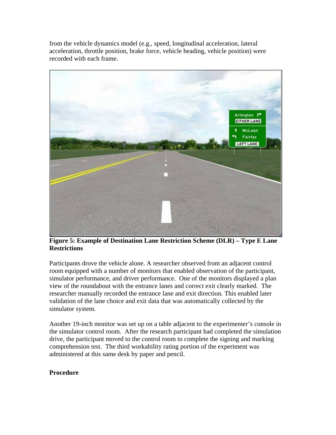from the vehicle dynamics model (e.g., speed, longitudinal acceleration, lateral acceleration, throttle position, brake force, vehicle heading, vehicle position) were recorded with each frame.



**Figure 5: Example of Destination Lane Restriction Scheme (DLR) – Type E Lane Restrictions** 

Participants drove the vehicle alone. A researcher observed from an adjacent control room equipped with a number of monitors that enabled observation of the participant, simulator performance, and driver performance. One of the monitors displayed a plan view of the roundabout with the entrance lanes and correct exit clearly marked. The researcher manually recorded the entrance lane and exit direction. This enabled later validation of the lane choice and exit data that was automatically collected by the simulator system.

Another 19-inch monitor was set up on a table adjacent to the experimenter's console in the simulator control room. After the research participant had completed the simulation drive, the participant moved to the control room to complete the signing and marking comprehension test. The third workability rating portion of the experiment was administered at this same desk by paper and pencil.

## **Procedure**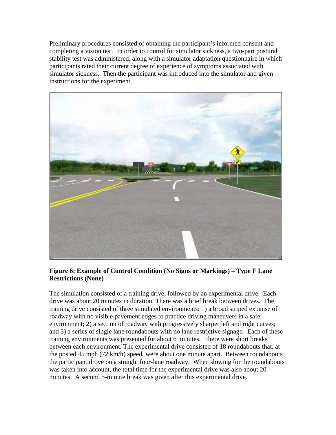Preliminary procedures consisted of obtaining the participant's informed consent and completing a vision test. In order to control for simulator sickness, a two-part postural stability test was administered, along with a simulator adaptation questionnaire in which participants rated their current degree of experience of symptoms associated with simulator sickness. Then the participant was introduced into the simulator and given instructions for the experiment.



## **Figure 6: Example of Control Condition (No Signs or Markings) – Type F Lane Restrictions (None)**

The simulation consisted of a training drive, followed by an experimental drive. Each drive was about 20 minutes in duration. There was a brief break between drives. The training drive consisted of three simulated environments: 1) a broad striped expanse of roadway with no visible pavement edges to practice driving maneuvers in a safe environment; 2) a section of roadway with progressively sharper left and right curves; and 3) a series of single lane roundabouts with no lane restrictive signage. Each of these training environments was presented for about 6 minutes. There were short breaks between each environment. The experimental drive consisted of 18 roundabouts that, at the posted 45 mph (72 km/h) speed, were about one minute apart. Between roundabouts the participant drove on a straight four-lane roadway. When slowing for the roundabouts was taken into account, the total time for the experimental drive was also about 20 minutes. A second 5-minute break was given after this experimental drive.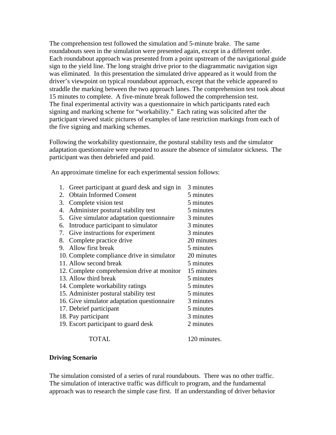The comprehension test followed the simulation and 5-minute brake. The same roundabouts seen in the simulation were presented again, except in a different order. Each roundabout approach was presented from a point upstream of the navigational guide sign to the yield line. The long straight drive prior to the diagrammatic navigation sign was eliminated. In this presentation the simulated drive appeared as it would from the driver's viewpoint on typical roundabout approach, except that the vehicle appeared to straddle the marking between the two approach lanes. The comprehension test took about 15 minutes to complete. A five-minute break followed the comprehension test. The final experimental activity was a questionnaire in which participants rated each signing and marking scheme for "workability." Each rating was solicited after the participant viewed static pictures of examples of lane restriction markings from each of the five signing and marking schemes.

Following the workability questionnaire, the postural stability tests and the simulator adaptation questionnaire were repeated to assure the absence of simulator sickness. The participant was then debriefed and paid.

An approximate timeline for each experimental session follows:

| 1. | Greet participant at guard desk and sign in | 3 minutes    |
|----|---------------------------------------------|--------------|
| 2. | <b>Obtain Informed Consent</b>              | 5 minutes    |
| 3. | Complete vision test                        | 5 minutes    |
| 4. | Administer postural stability test          | 5 minutes    |
| 5. | Give simulator adaptation questionnaire     | 3 minutes    |
| 6. | Introduce participant to simulator          | 3 minutes    |
| 7. | Give instructions for experiment            | 3 minutes    |
| 8. | Complete practice drive                     | 20 minutes   |
| 9. | Allow first break                           | 5 minutes    |
|    | 10. Complete compliance drive in simulator  | 20 minutes   |
|    | 11. Allow second break                      | 5 minutes    |
|    | 12. Complete comprehension drive at monitor | 15 minutes   |
|    | 13. Allow third break                       | 5 minutes    |
|    | 14. Complete workability ratings            | 5 minutes    |
|    | 15. Administer postural stability test      | 5 minutes    |
|    | 16. Give simulator adaptation questionnaire | 3 minutes    |
|    | 17. Debrief participant                     | 5 minutes    |
|    | 18. Pay participant                         | 3 minutes    |
|    | 19. Escort participant to guard desk        | 2 minutes    |
|    | TOTAL                                       | 120 minutes. |

#### **Driving Scenario**

The simulation consisted of a series of rural roundabouts. There was no other traffic. The simulation of interactive traffic was difficult to program, and the fundamental approach was to research the simple case first. If an understanding of driver behavior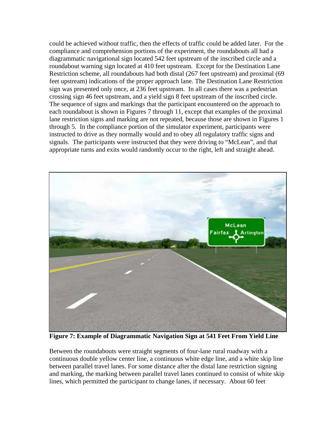could be achieved without traffic, then the effects of traffic could be added later. For the compliance and comprehension portions of the experiment, the roundabouts all had a diagrammatic navigational sign located 542 feet upstream of the inscribed circle and a roundabout warning sign located at 410 feet upstream. Except for the Destination Lane Restriction scheme, all roundabouts had both distal (267 feet upstream) and proximal (69 feet upstream) indications of the proper approach lane. The Destination Lane Restriction sign was presented only once, at 236 feet upstream. In all cases there was a pedestrian crossing sign 46 feet upstream, and a yield sign 8 feet upstream of the inscribed circle. The sequence of signs and markings that the participant encountered on the approach to each roundabout is shown in Figures 7 through 11, except that examples of the proximal lane restriction signs and marking are not repeated, because those are shown in Figures 1 through 5. In the compliance portion of the simulator experiment, participants were instructed to drive as they normally would and to obey all regulatory traffic signs and signals. The participants were instructed that they were driving to "McLean", and that appropriate turns and exits would randomly occur to the right, left and straight ahead.



**Figure 7: Example of Diagrammatic Navigation Sign at 541 Feet From Yield Line**

Between the roundabouts were straight segments of four-lane rural roadway with a continuous double yellow center line, a continuous white edge line, and a white skip line between parallel travel lanes. For some distance after the distal lane restriction signing and marking, the marking between parallel travel lanes continued to consist of white skip lines, which permitted the participant to change lanes, if necessary. About 60 feet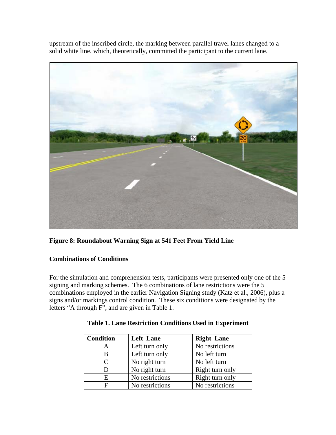upstream of the inscribed circle, the marking between parallel travel lanes changed to a solid white line, which, theoretically, committed the participant to the current lane.



**Figure 8: Roundabout Warning Sign at 541 Feet From Yield Line** 

## **Combinations of Conditions**

For the simulation and comprehension tests, participants were presented only one of the 5 signing and marking schemes. The 6 combinations of lane restrictions were the 5 combinations employed in the earlier Navigation Signing study (Katz et al., 2006), plus a signs and/or markings control condition. These six conditions were designated by the letters "A through F", and are given in Table 1.

| <b>Condition</b> | <b>Left Lane</b> | <b>Right Lane</b> |
|------------------|------------------|-------------------|
|                  | Left turn only   | No restrictions   |
| B                | Left turn only   | No left turn      |
| C                | No right turn    | No left turn      |
| Ð                | No right turn    | Right turn only   |
| E.               | No restrictions  | Right turn only   |
| F                | No restrictions  | No restrictions   |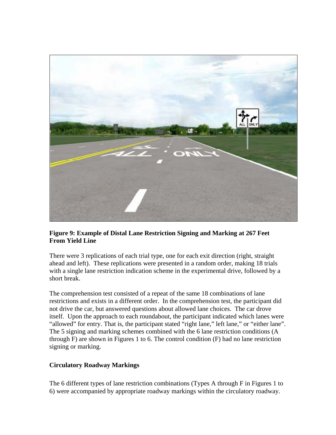

## **Figure 9: Example of Distal Lane Restriction Signing and Marking at 267 Feet From Yield Line**

There were 3 replications of each trial type, one for each exit direction (right, straight ahead and left). These replications were presented in a random order, making 18 trials with a single lane restriction indication scheme in the experimental drive, followed by a short break.

The comprehension test consisted of a repeat of the same 18 combinations of lane restrictions and exists in a different order. In the comprehension test, the participant did not drive the car, but answered questions about allowed lane choices. The car drove itself. Upon the approach to each roundabout, the participant indicated which lanes were "allowed" for entry. That is, the participant stated "right lane," left lane," or "either lane". The 5 signing and marking schemes combined with the 6 lane restriction conditions (A through F) are shown in Figures 1 to 6. The control condition (F) had no lane restriction signing or marking.

## **Circulatory Roadway Markings**

The 6 different types of lane restriction combinations (Types A through F in Figures 1 to 6) were accompanied by appropriate roadway markings within the circulatory roadway.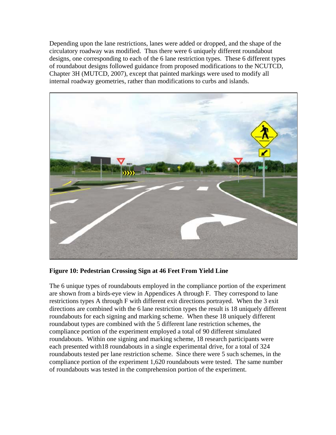Depending upon the lane restrictions, lanes were added or dropped, and the shape of the circulatory roadway was modified. Thus there were 6 uniquely different roundabout designs, one corresponding to each of the 6 lane restriction types. These 6 different types of roundabout designs followed guidance from proposed modifications to the NCUTCD, Chapter 3H (MUTCD, 2007), except that painted markings were used to modify all internal roadway geometries, rather than modifications to curbs and islands.



**Figure 10: Pedestrian Crossing Sign at 46 Feet From Yield Line** 

The 6 unique types of roundabouts employed in the compliance portion of the experiment are shown from a birds-eye view in Appendices A through F. They correspond to lane restrictions types A through F with different exit directions portrayed. When the 3 exit directions are combined with the 6 lane restriction types the result is 18 uniquely different roundabouts for each signing and marking scheme. When these 18 uniquely different roundabout types are combined with the 5 different lane restriction schemes, the compliance portion of the experiment employed a total of 90 different simulated roundabouts. Within one signing and marking scheme, 18 research participants were each presented with18 roundabouts in a single experimental drive, for a total of 324 roundabouts tested per lane restriction scheme. Since there were 5 such schemes, in the compliance portion of the experiment 1,620 roundabouts were tested. The same number of roundabouts was tested in the comprehension portion of the experiment.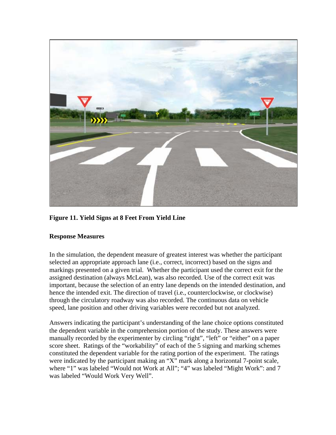

**Figure 11. Yield Signs at 8 Feet From Yield Line** 

## **Response Measures**

In the simulation, the dependent measure of greatest interest was whether the participant selected an appropriate approach lane (i.e., correct, incorrect) based on the signs and markings presented on a given trial. Whether the participant used the correct exit for the assigned destination (always McLean), was also recorded. Use of the correct exit was important, because the selection of an entry lane depends on the intended destination, and hence the intended exit. The direction of travel (i.e., counterclockwise, or clockwise) through the circulatory roadway was also recorded. The continuous data on vehicle speed, lane position and other driving variables were recorded but not analyzed.

Answers indicating the participant's understanding of the lane choice options constituted the dependent variable in the comprehension portion of the study. These answers were manually recorded by the experimenter by circling "right", "left" or "either" on a paper score sheet. Ratings of the "workability" of each of the 5 signing and marking schemes constituted the dependent variable for the rating portion of the experiment. The ratings were indicated by the participant making an "X" mark along a horizontal 7-point scale, where "1" was labeled "Would not Work at All"; "4" was labeled "Might Work": and 7 was labeled "Would Work Very Well".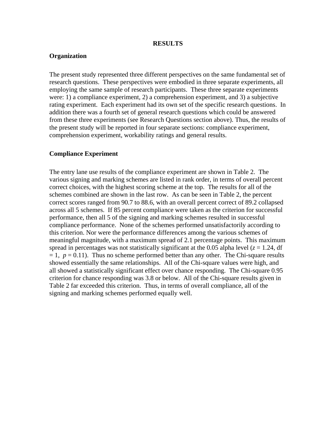#### **RESULTS**

#### **Organization**

The present study represented three different perspectives on the same fundamental set of research questions. These perspectives were embodied in three separate experiments, all employing the same sample of research participants. These three separate experiments were: 1) a compliance experiment, 2) a comprehension experiment, and 3) a subjective rating experiment. Each experiment had its own set of the specific research questions. In addition there was a fourth set of general research questions which could be answered from these three experiments (see Research Questions section above). Thus, the results of the present study will be reported in four separate sections: compliance experiment, comprehension experiment, workability ratings and general results.

#### **Compliance Experiment**

The entry lane use results of the compliance experiment are shown in Table 2. The various signing and marking schemes are listed in rank order, in terms of overall percent correct choices, with the highest scoring scheme at the top. The results for all of the schemes combined are shown in the last row. As can be seen in Table 2, the percent correct scores ranged from 90.7 to 88.6, with an overall percent correct of 89.2 collapsed across all 5 schemes. If 85 percent compliance were taken as the criterion for successful performance, then all 5 of the signing and marking schemes resulted in successful compliance performance. None of the schemes performed unsatisfactorily according to this criterion. Nor were the performance differences among the various schemes of meaningful magnitude, with a maximum spread of 2.1 percentage points. This maximum spread in percentages was not statistically significant at the 0.05 alpha level ( $z = 1.24$ , df  $= 1, p = 0.11$ ). Thus no scheme performed better than any other. The Chi-square results showed essentially the same relationships. All of the Chi-square values were high, and all showed a statistically significant effect over chance responding. The Chi-square 0.95 criterion for chance responding was 3.8 or below. All of the Chi-square results given in Table 2 far exceeded this criterion. Thus, in terms of overall compliance, all of the signing and marking schemes performed equally well.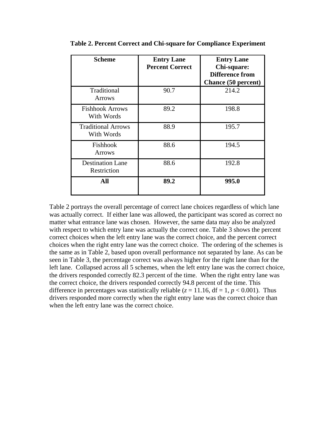| <b>Scheme</b>                           | <b>Entry Lane</b><br><b>Percent Correct</b> | <b>Entry Lane</b><br>Chi-square:<br><b>Difference from</b><br><b>Chance (50 percent)</b> |
|-----------------------------------------|---------------------------------------------|------------------------------------------------------------------------------------------|
| Traditional<br><b>Arrows</b>            | 90.7                                        | 214.2                                                                                    |
| <b>Fishhook Arrows</b><br>With Words    | 89.2                                        | 198.8                                                                                    |
| <b>Traditional Arrows</b><br>With Words | 88.9                                        | 195.7                                                                                    |
| Fishhook<br><b>Arrows</b>               | 88.6                                        | 194.5                                                                                    |
| <b>Destination Lane</b><br>Restriction  | 88.6                                        | 192.8                                                                                    |
| All                                     | 89.2                                        | 995.0                                                                                    |

**Table 2. Percent Correct and Chi-square for Compliance Experiment** 

Table 2 portrays the overall percentage of correct lane choices regardless of which lane was actually correct. If either lane was allowed, the participant was scored as correct no matter what entrance lane was chosen. However, the same data may also be analyzed with respect to which entry lane was actually the correct one. Table 3 shows the percent correct choices when the left entry lane was the correct choice, and the percent correct choices when the right entry lane was the correct choice. The ordering of the schemes is the same as in Table 2, based upon overall performance not separated by lane. As can be seen in Table 3, the percentage correct was always higher for the right lane than for the left lane. Collapsed across all 5 schemes, when the left entry lane was the correct choice, the drivers responded correctly 82.3 percent of the time. When the right entry lane was the correct choice, the drivers responded correctly 94.8 percent of the time. This difference in percentages was statistically reliable ( $z = 11.16$ ,  $df = 1$ ,  $p < 0.001$ ). Thus drivers responded more correctly when the right entry lane was the correct choice than when the left entry lane was the correct choice.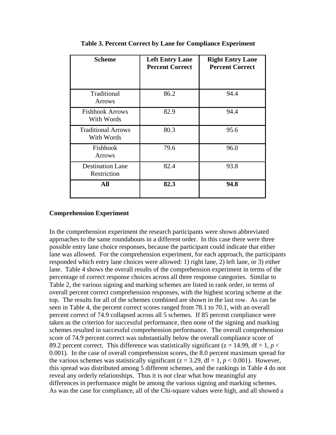| <b>Scheme</b>                           | <b>Left Entry Lane</b><br><b>Percent Correct</b> | <b>Right Entry Lane</b><br><b>Percent Correct</b> |
|-----------------------------------------|--------------------------------------------------|---------------------------------------------------|
| Traditional<br><b>Arrows</b>            | 86.2                                             | 94.4                                              |
| <b>Fishhook Arrows</b><br>With Words    | 82.9                                             | 94.4                                              |
| <b>Traditional Arrows</b><br>With Words | 80.3                                             | 95.6                                              |
| Fishhook<br><b>Arrows</b>               | 79.6                                             | 96.0                                              |
| <b>Destination Lane</b><br>Restriction  | 82.4                                             | 93.8                                              |
| All                                     | 82.3                                             | 94.8                                              |

**Table 3. Percent Correct by Lane for Compliance Experiment** 

#### **Comprehension Experiment**

In the comprehension experiment the research participants were shown abbreviated approaches to the same roundabouts in a different order. In this case there were three possible entry lane choice responses, because the participant could indicate that either lane was allowed. For the comprehension experiment, for each approach, the participants responded which entry lane choices were allowed: 1) right lane, 2) left lane, or 3) either lane. Table 4 shows the overall results of the comprehension experiment in terms of the percentage of correct response choices across all three response categories. Similar to Table 2, the various signing and marking schemes are listed in rank order, in terms of overall percent correct comprehension responses, with the highest scoring scheme at the top. The results for all of the schemes combined are shown in the last row. As can be seen in Table 4, the percent correct scores ranged from 78.1 to 70.1, with an overall percent correct of 74.9 collapsed across all 5 schemes. If 85 percent compliance were taken as the criterion for successful performance, then none of the signing and marking schemes resulted in successful comprehension performance. The overall comprehension score of 74.9 percent correct was substantially below the overall compliance score of 89.2 percent correct. This difference was statistically significant ( $z = 14.99$ , df = 1,  $p <$ 0.001). In the case of overall comprehension scores, the 8.0 percent maximum spread for the various schemes was statistically significant ( $z = 3.29$ , df = 1,  $p < 0.001$ ). However, this spread was distributed among 5 different schemes, and the rankings in Table 4 do not reveal any orderly relationships. Thus it is not clear what how meaningful any differences in performance might be among the various signing and marking schemes. As was the case for compliance, all of the Chi-square values were high, and all showed a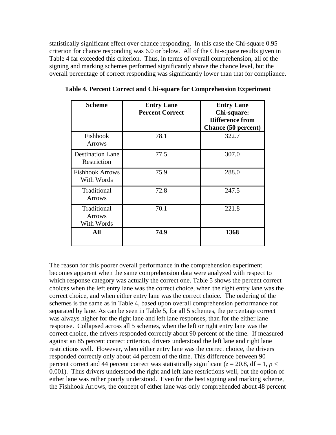statistically significant effect over chance responding. In this case the Chi-square 0.95 criterion for chance responding was 6.0 or below. All of the Chi-square results given in Table 4 far exceeded this criterion. Thus, in terms of overall comprehension, all of the signing and marking schemes performed significantly above the chance level, but the overall percentage of correct responding was significantly lower than that for compliance.

| <b>Scheme</b>                              | <b>Entry Lane</b><br><b>Percent Correct</b> | <b>Entry Lane</b><br>Chi-square:<br><b>Difference from</b><br>Chance (50 percent) |
|--------------------------------------------|---------------------------------------------|-----------------------------------------------------------------------------------|
| Fishhook<br><b>Arrows</b>                  | 78.1                                        | 322.7                                                                             |
| <b>Destination Lane</b><br>Restriction     | 77.5                                        | 307.0                                                                             |
| <b>Fishhook Arrows</b><br>With Words       | 75.9                                        | 288.0                                                                             |
| Traditional<br><b>Arrows</b>               | 72.8                                        | 247.5                                                                             |
| Traditional<br><b>Arrows</b><br>With Words | 70.1                                        | 221.8                                                                             |
| All                                        | 74.9                                        | 1368                                                                              |

**Table 4. Percent Correct and Chi-square for Comprehension Experiment**

The reason for this poorer overall performance in the comprehension experiment becomes apparent when the same comprehension data were analyzed with respect to which response category was actually the correct one. Table 5 shows the percent correct choices when the left entry lane was the correct choice, when the right entry lane was the correct choice, and when either entry lane was the correct choice. The ordering of the schemes is the same as in Table 4, based upon overall comprehension performance not separated by lane. As can be seen in Table 5, for all 5 schemes, the percentage correct was always higher for the right lane and left lane responses, than for the either lane response. Collapsed across all 5 schemes, when the left or right entry lane was the correct choice, the drivers responded correctly about 90 percent of the time. If measured against an 85 percent correct criterion, drivers understood the left lane and right lane restrictions well. However, when either entry lane was the correct choice, the drivers responded correctly only about 44 percent of the time. This difference between 90 percent correct and 44 percent correct was statistically significant ( $z = 20.8$ , df = 1,  $p <$ 0.001). Thus drivers understood the right and left lane restrictions well, but the option of either lane was rather poorly understood. Even for the best signing and marking scheme, the Fishhook Arrows, the concept of either lane was only comprehended about 48 percent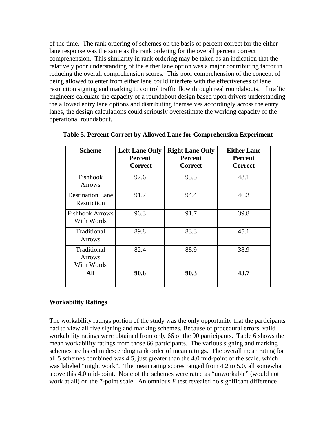of the time. The rank ordering of schemes on the basis of percent correct for the either lane response was the same as the rank ordering for the overall percent correct comprehension. This similarity in rank ordering may be taken as an indication that the relatively poor understanding of the either lane option was a major contributing factor in reducing the overall comprehension scores. This poor comprehension of the concept of being allowed to enter from either lane could interfere with the effectiveness of lane restriction signing and marking to control traffic flow through real roundabouts. If traffic engineers calculate the capacity of a roundabout design based upon drivers understanding the allowed entry lane options and distributing themselves accordingly across the entry lanes, the design calculations could seriously overestimate the working capacity of the operational roundabout.

| <b>Scheme</b>                              | <b>Left Lane Only</b><br><b>Percent</b><br><b>Correct</b> | <b>Right Lane Only</b><br><b>Percent</b><br><b>Correct</b> | <b>Either Lane</b><br><b>Percent</b><br><b>Correct</b> |
|--------------------------------------------|-----------------------------------------------------------|------------------------------------------------------------|--------------------------------------------------------|
| Fishhook<br><b>Arrows</b>                  | 92.6                                                      | 93.5                                                       | 48.1                                                   |
| <b>Destination Lane</b><br>Restriction     | 91.7                                                      | 94.4                                                       | 46.3                                                   |
| <b>Fishhook Arrows</b><br>With Words       | 96.3                                                      | 91.7                                                       | 39.8                                                   |
| Traditional<br><b>Arrows</b>               | 89.8                                                      | 83.3                                                       | 45.1                                                   |
| Traditional<br><b>Arrows</b><br>With Words | 82.4                                                      | 88.9                                                       | 38.9                                                   |
| All                                        | 90.6                                                      | 90.3                                                       | 43.7                                                   |

#### **Workability Ratings**

The workability ratings portion of the study was the only opportunity that the participants had to view all five signing and marking schemes. Because of procedural errors, valid workability ratings were obtained from only 66 of the 90 participants. Table 6 shows the mean workability ratings from those 66 participants. The various signing and marking schemes are listed in descending rank order of mean ratings. The overall mean rating for all 5 schemes combined was 4.5, just greater than the 4.0 mid-point of the scale, which was labeled "might work". The mean rating scores ranged from 4.2 to 5.0, all somewhat above this 4.0 mid-point. None of the schemes were rated as "unworkable" (would not work at all) on the 7-point scale. An omnibus *F* test revealed no significant difference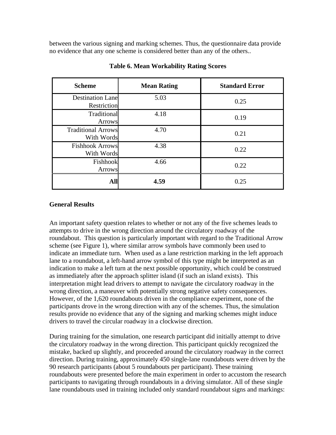between the various signing and marking schemes. Thus, the questionnaire data provide no evidence that any one scheme is considered better than any of the others..

| <b>Scheme</b>                           | <b>Mean Rating</b> | <b>Standard Error</b> |
|-----------------------------------------|--------------------|-----------------------|
| <b>Destination Lane</b><br>Restriction  | 5.03               | 0.25                  |
| Traditional<br>Arrows                   | 4.18               | 0.19                  |
| <b>Traditional Arrows</b><br>With Words | 4.70               | 0.21                  |
| <b>Fishhook Arrows</b><br>With Words    | 4.38               | 0.22                  |
| Fishhook<br>Arrows                      | 4.66               | 0.22                  |
| All                                     | 4.59               | 0.25                  |

#### **Table 6. Mean Workability Rating Scores**

#### **General Results**

An important safety question relates to whether or not any of the five schemes leads to attempts to drive in the wrong direction around the circulatory roadway of the roundabout. This question is particularly important with regard to the Traditional Arrow scheme (see Figure 1), where similar arrow symbols have commonly been used to indicate an immediate turn. When used as a lane restriction marking in the left approach lane to a roundabout, a left-hand arrow symbol of this type might be interpreted as an indication to make a left turn at the next possible opportunity, which could be construed as immediately after the approach splitter island (if such an island exists). This interpretation might lead drivers to attempt to navigate the circulatory roadway in the wrong direction, a maneuver with potentially strong negative safety consequences. However, of the 1,620 roundabouts driven in the compliance experiment, none of the participants drove in the wrong direction with any of the schemes. Thus, the simulation results provide no evidence that any of the signing and marking schemes might induce drivers to travel the circular roadway in a clockwise direction.

During training for the simulation, one research participant did initially attempt to drive the circulatory roadway in the wrong direction. This participant quickly recognized the mistake, backed up slightly, and proceeded around the circulatory roadway in the correct direction. During training, approximately 450 single-lane roundabouts were driven by the 90 research participants (about 5 roundabouts per participant). These training roundabouts were presented before the main experiment in order to accustom the research participants to navigating through roundabouts in a driving simulator. All of these single lane roundabouts used in training included only standard roundabout signs and markings: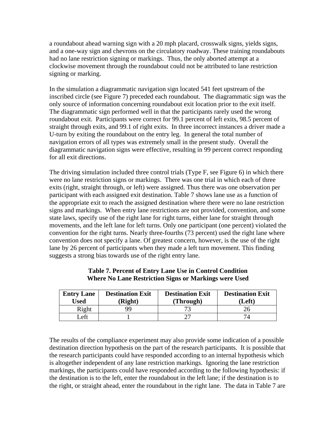a roundabout ahead warning sign with a 20 mph placard, crosswalk signs, yields signs, and a one-way sign and chevrons on the circulatory roadway. These training roundabouts had no lane restriction signing or markings. Thus, the only aborted attempt at a clockwise movement through the roundabout could not be attributed to lane restriction signing or marking.

In the simulation a diagrammatic navigation sign located 541 feet upstream of the inscribed circle (see Figure 7) preceded each roundabout. The diagrammatic sign was the only source of information concerning roundabout exit location prior to the exit itself. The diagrammatic sign performed well in that the participants rarely used the wrong roundabout exit. Participants were correct for 99.1 percent of left exits, 98.5 percent of straight through exits, and 99.1 of right exits. In three incorrect instances a driver made a U-turn by exiting the roundabout on the entry leg. In general the total number of navigation errors of all types was extremely small in the present study. Overall the diagrammatic navigation signs were effective, resulting in 99 percent correct responding for all exit directions.

The driving simulation included three control trials (Type F, see Figure 6) in which there were no lane restriction signs or markings. There was one trial in which each of three exits (right, straight through, or left) were assigned. Thus there was one observation per participant with each assigned exit destination. Table 7 shows lane use as a function of the appropriate exit to reach the assigned destination where there were no lane restriction signs and markings. When entry lane restrictions are not provided, convention, and some state laws, specify use of the right lane for right turns, either lane for straight through movements, and the left lane for left turns. Only one participant (one percent) violated the convention for the right turns. Nearly three-fourths (73 percent) used the right lane where convention does not specify a lane. Of greatest concern, however, is the use of the right lane by 26 percent of participants when they made a left turn movement. This finding suggests a strong bias towards use of the right entry lane.

| <b>Entry Lane</b><br>Used | <b>Destination Exit</b><br>(Right) | <b>Destination Exit</b><br>(Through) | <b>Destination Exit</b><br>(Left) |
|---------------------------|------------------------------------|--------------------------------------|-----------------------------------|
| Right                     | QQ                                 |                                      |                                   |
| ∟eft                      |                                    |                                      |                                   |

**Table 7. Percent of Entry Lane Use in Control Condition Where No Lane Restriction Signs or Markings were Used** 

The results of the compliance experiment may also provide some indication of a possible destination direction hypothesis on the part of the research participants. It is possible that the research participants could have responded according to an internal hypothesis which is altogether independent of any lane restriction markings. Ignoring the lane restriction markings, the participants could have responded according to the following hypothesis: if the destination is to the left, enter the roundabout in the left lane; if the destination is to the right, or straight ahead, enter the roundabout in the right lane. The data in Table 7 are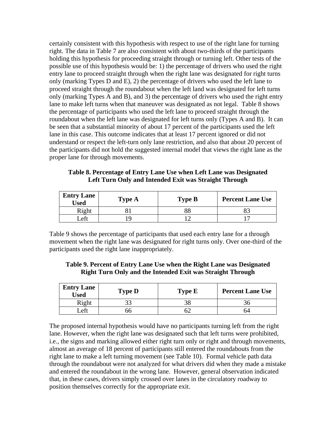certainly consistent with this hypothesis with respect to use of the right lane for turning right. The data in Table 7 are also consistent with about two-thirds of the participants holding this hypothesis for proceeding straight through or turning left. Other tests of the possible use of this hypothesis would be: 1) the percentage of drivers who used the right entry lane to proceed straight through when the right lane was designated for right turns only (marking Types D and E), 2) the percentage of drivers who used the left lane to proceed straight through the roundabout when the left land was designated for left turns only (marking Types A and B), and 3) the percentage of drivers who used the right entry lane to make left turns when that maneuver was designated as not legal. Table 8 shows the percentage of participants who used the left lane to proceed straight through the roundabout when the left lane was designated for left turns only (Types A and B). It can be seen that a substantial minority of about 17 percent of the participants used the left lane in this case. This outcome indicates that at least 17 percent ignored or did not understand or respect the left-turn only lane restriction, and also that about 20 percent of the participants did not hold the suggested internal model that views the right lane as the proper lane for through movements.

**Table 8. Percentage of Entry Lane Use when Left Lane was Designated Left Turn Only and Intended Exit was Straight Through** 

| <b>Entry Lane</b><br>Used | <b>Type A</b> | <b>Type B</b> | <b>Percent Lane Use</b> |
|---------------------------|---------------|---------------|-------------------------|
| Right                     |               |               |                         |
| _eft                      |               |               |                         |

Table 9 shows the percentage of participants that used each entry lane for a through movement when the right lane was designated for right turns only. Over one-third of the participants used the right lane inappropriately.

| Table 9. Percent of Entry Lane Use when the Right Lane was Designated |
|-----------------------------------------------------------------------|
| <b>Right Turn Only and the Intended Exit was Straight Through</b>     |

| <b>Entry Lane</b><br><b>Used</b> | <b>Type D</b> | <b>Type E</b> | <b>Percent Lane Use</b> |
|----------------------------------|---------------|---------------|-------------------------|
| Right                            | າາ            | 38            |                         |
| _eft                             | C)            |               | 74                      |

The proposed internal hypothesis would have no participants turning left from the right lane. However, when the right lane was designated such that left turns were prohibited, i.e., the signs and marking allowed either right turn only or right and through movements, almost an average of 18 percent of participants still entered the roundabouts from the right lane to make a left turning movement (see Table 10). Formal vehicle path data through the roundabout were not analyzed for what drivers did when they made a mistake and entered the roundabout in the wrong lane. However, general observation indicated that, in these cases, drivers simply crossed over lanes in the circulatory roadway to position themselves correctly for the appropriate exit.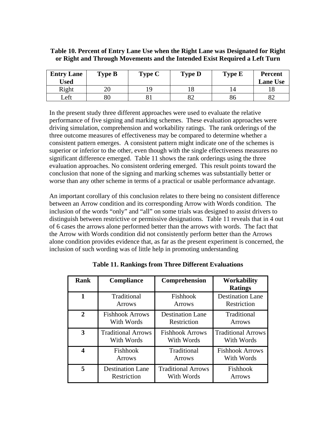## **Table 10. Percent of Entry Lane Use when the Right Lane was Designated for Right or Right and Through Movements and the Intended Exist Required a Left Turn**

| <b>Entry Lane</b><br>Used | <b>Type B</b> | Type C | <b>Type D</b> | <b>Type E</b> | <b>Percent</b><br><b>Lane Use</b> |
|---------------------------|---------------|--------|---------------|---------------|-----------------------------------|
| Right                     | 20            |        |               |               |                                   |
| Left                      | $80\,$        |        | 82            | 86            |                                   |

In the present study three different approaches were used to evaluate the relative performance of five signing and marking schemes. These evaluation approaches were driving simulation, comprehension and workability ratings. The rank orderings of the three outcome measures of effectiveness may be compared to determine whether a consistent pattern emerges. A consistent pattern might indicate one of the schemes is superior or inferior to the other, even though with the single effectiveness measures no significant difference emerged. Table 11 shows the rank orderings using the three evaluation approaches. No consistent ordering emerged. This result points toward the conclusion that none of the signing and marking schemes was substantially better or worse than any other scheme in terms of a practical or usable performance advantage.

An important corollary of this conclusion relates to there being no consistent difference between an Arrow condition and its corresponding Arrow with Words condition. The inclusion of the words "only" and "all" on some trials was designed to assist drivers to distinguish between restrictive or permissive designations. Table 11 reveals that in 4 out of 6 cases the arrows alone performed better than the arrows with words. The fact that the Arrow with Words condition did not consistently perform better than the Arrows alone condition provides evidence that, as far as the present experiment is concerned, the inclusion of such wording was of little help in promoting understanding

| <b>Rank</b>    | Compliance                | Comprehension             | <b>Workability</b><br><b>Ratings</b> |
|----------------|---------------------------|---------------------------|--------------------------------------|
|                | Traditional               | Fishhook                  | <b>Destination Lane</b>              |
|                | <b>Arrows</b>             | <b>Arrows</b>             | Restriction                          |
| $\overline{2}$ | <b>Fishhook Arrows</b>    | <b>Destination Lane</b>   | Traditional                          |
|                | With Words                | Restriction               | <b>Arrows</b>                        |
| 3              | <b>Traditional Arrows</b> | <b>Fishhook Arrows</b>    | <b>Traditional Arrows</b>            |
|                | With Words                | With Words                | With Words                           |
| Δ              | Fishhook                  | Traditional               | <b>Fishhook Arrows</b>               |
|                | <b>Arrows</b>             | <b>Arrows</b>             | With Words                           |
| 5              | <b>Destination Lane</b>   | <b>Traditional Arrows</b> | Fishhook                             |
|                | Restriction               | With Words                | Arrows                               |

**Table 11. Rankings from Three Different Evaluations**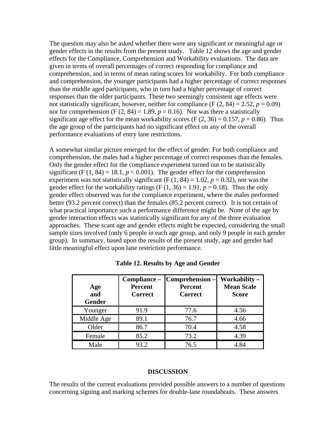The question may also be asked whether there were any significant or meaningful age or gender effects in the results from the present study. Table 12 shows the age and gender effects for the Compliance, Comprehension and Workability evaluations. The data are given in terms of overall percentages of correct responding for compliance and comprehension, and in terms of mean rating scores for workability. For both compliance and comprehension, the younger participants had a higher percentage of correct responses than the middle aged participants, who in turn had a higher percentage of correct responses than the older participants. These two seemingly consistent age effects were not statistically significant, however, neither for compliance  $(F (2, 84) = 2.52, p = 0.09)$ nor for comprehension (F  $(2, 84) = 1.89$ ,  $p = 0.16$ ). Nor was there a statistically significant age effect for the mean workability scores (F  $(2, 36) = 0.157$ ,  $p = 0.86$ ). Thus the age group of the participants had no significant effect on any of the overall performance evaluations of entry lane restrictions.

A somewhat similar picture emerged for the effect of gender. For both compliance and comprehension, the males had a higher percentage of correct responses than the females. Only the gender effect for the compliance experiment turned out to be statistically significant (F  $(1, 84) = 18.1, p < 0.001$ ). The gender effect for the comprehension experiment was not statistically significant (F  $(1, 84) = 1.02$ ,  $p = 0.32$ ), nor was the gender effect for the workability ratings  $(F (1, 36) = 1.91, p = 0.18)$ . Thus the only gender effect observed was for the compliance experiment, where the males performed better (93.2 percent correct) than the females (85.2 percent correct). It is not certain of what practical importance such a performance difference might be. None of the age by gender interaction effects was statistically significant for any of the three evaluation approaches. These scant age and gender effects might be expected, considering the small sample sizes involved (only 6 people in each age group, and only 9 people in each gender group). In summary, based upon the results of the present study, age and gender had little meaningful effect upon lane restriction performance.

| Age<br>and<br><b>Gender</b> | Compliance -<br><b>Percent</b><br><b>Correct</b> | Comprehension -<br><b>Percent</b><br><b>Correct</b> | Workability-<br><b>Mean Scale</b><br><b>Score</b> |
|-----------------------------|--------------------------------------------------|-----------------------------------------------------|---------------------------------------------------|
| Younger                     | 91.9                                             | 77.6                                                | 4.56                                              |
| Middle Age                  | 89.1                                             | 76.7                                                | 4.66                                              |
| Older                       | 86.7                                             | 70.4                                                | 4.58                                              |
| Female                      | 85.2                                             | 73.2                                                | 4.39                                              |
| Male                        | 93.2                                             | 76.5                                                | 4.84                                              |

#### **Table 12. Results by Age and Gender**

#### **DISCUSSION**

The results of the current evaluations provided possible answers to a number of questions concerning signing and marking schemes for double-lane roundabouts. These answers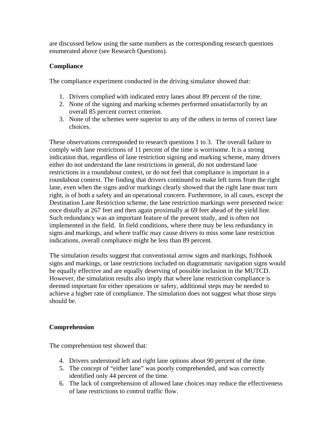are discussed below using the same numbers as the corresponding research questions enumerated above (see Research Questions).

## **Compliance**

The compliance experiment conducted in the driving simulator showed that:

- 1. Drivers complied with indicated entry lanes about 89 percent of the time.
- 2. None of the signing and marking schemes performed unsatisfactorily by an overall 85 percent correct criterion.
- 3. None of the schemes were superior to any of the others in terms of correct lane choices.

These observations corresponded to research questions 1 to 3. The overall failure to comply with lane restrictions of 11 percent of the time is worrisome. It is a strong indication that, regardless of lane restriction signing and marking scheme, many drivers either do not understand the lane restrictions in general, do not understand lane restrictions in a roundabout context, or do not feel that compliance is important in a roundabout context. The finding that drivers continued to make left turns from the right lane, even when the signs and/or markings clearly showed that the right lane must turn right, is of both a safety and an operational concern. Furthermore, in all cases, except the Destination Lane Restriction scheme, the lane restriction markings were presented twice: once distally at 267 feet and then again proximally at 69 feet ahead of the yield line. Such redundancy was an important feature of the present study, and is often not implemented in the field. In field conditions, where there may be less redundancy in signs and markings, and where traffic may cause drivers to miss some lane restriction indications, overall compliance might be less than 89 percent.

The simulation results suggest that conventional arrow signs and markings, fishhook signs and markings, or lane restrictions included on diagrammatic navigation signs would be equally effective and are equally deserving of possible inclusion in the MUTCD. However, the simulation results also imply that where lane restriction compliance is deemed important for either operations or safety, additional steps may be needed to achieve a higher rate of compliance. The simulation does not suggest what those steps should be.

## **Comprehension**

The comprehension test showed that:

- 4. Drivers understood left and right lane options about 90 percent of the time.
- 5. The concept of "either lane" was poorly comprehended, and was correctly identified only 44 percent of the time.
- 6. The lack of comprehension of allowed lane choices may reduce the effectiveness of lane restrictions to control traffic flow.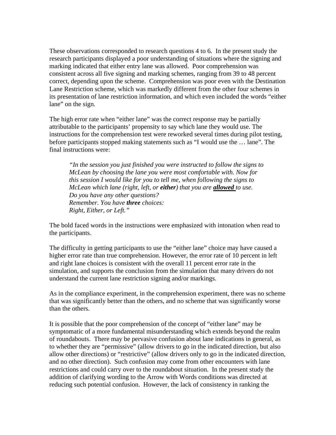These observations corresponded to research questions 4 to 6. In the present study the research participants displayed a poor understanding of situations where the signing and marking indicated that either entry lane was allowed. Poor comprehension was consistent across all five signing and marking schemes, ranging from 39 to 48 percent correct, depending upon the scheme. Comprehension was poor even with the Destination Lane Restriction scheme, which was markedly different from the other four schemes in its presentation of lane restriction information, and which even included the words "either lane" on the sign.

The high error rate when "either lane" was the correct response may be partially attributable to the participants' propensity to say which lane they would use. The instructions for the comprehension test were reworked several times during pilot testing, before participants stopped making statements such as "I would use the … lane". The final instructions were:

*"In the session you just finished you were instructed to follow the signs to McLean by choosing the lane you were most comfortable with. Now for this session I would like for you to tell me, when following the signs to McLean which lane (right, left, or either) that you are allowed to use. Do you have any other questions? Remember. You have three choices: Right, Either, or Left."* 

The bold faced words in the instructions were emphasized with intonation when read to the participants.

The difficulty in getting participants to use the "either lane" choice may have caused a higher error rate than true comprehension. However, the error rate of 10 percent in left and right lane choices is consistent with the overall 11 percent error rate in the simulation, and supports the conclusion from the simulation that many drivers do not understand the current lane restriction signing and/or markings.

As in the compliance experiment, in the comprehension experiment, there was no scheme that was significantly better than the others, and no scheme that was significantly worse than the others.

It is possible that the poor comprehension of the concept of "either lane" may be symptomatic of a more fundamental misunderstanding which extends beyond the realm of roundabouts. There may be pervasive confusion about lane indications in general, as to whether they are "permissive" (allow drivers to go in the indicated direction, but also allow other directions) or "restrictive" (allow drivers only to go in the indicated direction, and no other direction). Such confusion may come from other encounters with lane restrictions and could carry over to the roundabout situation. In the present study the addition of clarifying wording to the Arrow with Words conditions was directed at reducing such potential confusion. However, the lack of consistency in ranking the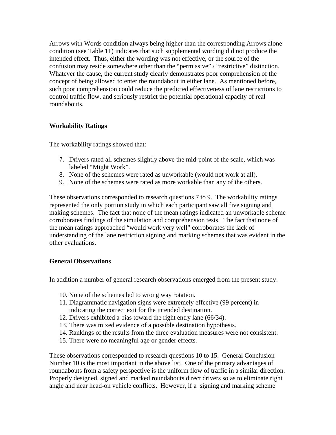Arrows with Words condition always being higher than the corresponding Arrows alone condition (see Table 11) indicates that such supplemental wording did not produce the intended effect. Thus, either the wording was not effective, or the source of the confusion may reside somewhere other than the "permissive" / "restrictive" distinction. Whatever the cause, the current study clearly demonstrates poor comprehension of the concept of being allowed to enter the roundabout in either lane. As mentioned before, such poor comprehension could reduce the predicted effectiveness of lane restrictions to control traffic flow, and seriously restrict the potential operational capacity of real roundabouts.

## **Workability Ratings**

The workability ratings showed that:

- 7. Drivers rated all schemes slightly above the mid-point of the scale, which was labeled "Might Work".
- 8. None of the schemes were rated as unworkable (would not work at all).
- 9. None of the schemes were rated as more workable than any of the others.

These observations corresponded to research questions 7 to 9. The workability ratings represented the only portion study in which each participant saw all five signing and making schemes. The fact that none of the mean ratings indicated an unworkable scheme corroborates findings of the simulation and comprehension tests. The fact that none of the mean ratings approached "would work very well" corroborates the lack of understanding of the lane restriction signing and marking schemes that was evident in the other evaluations.

## **General Observations**

In addition a number of general research observations emerged from the present study:

- 10. None of the schemes led to wrong way rotation.
- 11. Diagrammatic navigation signs were extremely effective (99 percent) in indicating the correct exit for the intended destination.
- 12. Drivers exhibited a bias toward the right entry lane (66/34).
- 13. There was mixed evidence of a possible destination hypothesis.
- 14. Rankings of the results from the three evaluation measures were not consistent.
- 15. There were no meaningful age or gender effects.

These observations corresponded to research questions 10 to 15. General Conclusion Number 10 is the most important in the above list. One of the primary advantages of roundabouts from a safety perspective is the uniform flow of traffic in a similar direction. Properly designed, signed and marked roundabouts direct drivers so as to eliminate right angle and near head-on vehicle conflicts. However, if a signing and marking scheme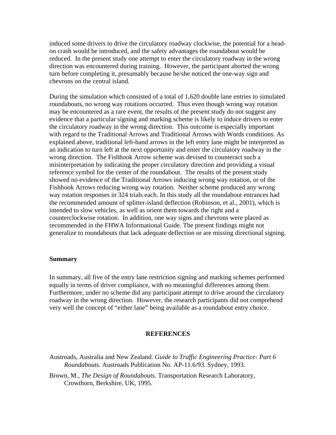induced some drivers to drive the circulatory roadway clockwise, the potential for a headon crash would be introduced, and the safety advantages the roundabout would be reduced. In the present study one attempt to enter the circulatory roadway in the wrong direction was encountered during training. However, the participant aborted the wrong turn before completing it, presumably because he/she noticed the one-way sign and chevrons on the central island.

During the simulation which consisted of a total of 1,620 double lane entries to simulated roundabouts, no wrong way rotations occurred. Thus even though wrong way rotation may be encountered as a rare event, the results of the present study do not suggest any evidence that a particular signing and marking scheme is likely to induce drivers to enter the circulatory roadway in the wrong direction. This outcome is especially important with regard to the Traditional Arrows and Traditional Arrows with Words conditions. As explained above, traditional left-hand arrows in the left entry lane might be interpreted as an indication to turn left at the next opportunity and enter the circulatory roadway in the wrong direction. The Fishhook Arrow scheme was devised to counteract such a misinterpretation by indicating the proper circulatory direction and providing a visual reference symbol for the center of the roundabout. The results of the present study showed no evidence of the Traditional Arrows inducing wrong way rotation, or of the Fishhook Arrows reducing wrong way rotation. Neither scheme produced any wrong way rotation responses in 324 trials each. In this study all the roundabout entrances had the recommended amount of splitter-island deflection (Robinson, et al., 2001), which is intended to slow vehicles, as well as orient them towards the right and a counterclockwise rotation. In addition, one way signs and chevrons were placed as recommended in the FHWA Informational Guide. The present findings might not generalize to roundabouts that lack adequate deflection or are missing directional signing.

#### **Summary**

In summary, all five of the entry lane restriction signing and marking schemes performed equally in terms of driver compliance, with no meaningful differences among them. Furthermore, under no scheme did any participant attempt to drive around the circulatory roadway in the wrong direction. However, the research participants did not comprehend very well the concept of "either lane" being available as a roundabout entry choice.

#### **REFERENCES**

- Austroads, Australia and New Zealand. *Guide to Traffic Engineering Practice: Part 6 Roundabouts*. Austroads Publication No. AP-11.6/93. Sydney, 1993.
- Brown, M., *The Design of Roundabouts*. Transportation Research Laboratory, Crowthorn, Berkshire, UK, 1995.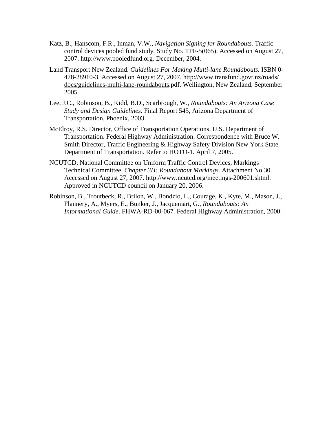- Katz, B., Hanscom, F.R., Inman, V.W., *Navigation Signing for Roundabouts.* Traffic control devices pooled fund study*.* Study No. TPF-5(065). Accessed on August 27, 2007. http://www.pooledfund.org*.* December, 2004.
- Land Transport New Zealand. *Guidelines For Making Multi-lane Roundabouts.* ISBN 0- 478-28910-3. Accessed on August 27, 2007. http://www.transfund.govt.nz/roads/ docs/guidelines-multi-lane-roundabouts.pdf. Wellington, New Zealand. September 2005.
- Lee, J.C., Robinson, B., Kidd, B.D., Scarbrough, W., *Roundabouts: An Arizona Case Study and Design Guidelines.* Final Report 545, Arizona Department of Transportation, Phoenix, 2003.
- McElroy, R.S. Director, Office of Transportation Operations. U.S. Department of Transportation. Federal Highway Administration. Correspondence with Bruce W. Smith Director, Traffic Engineering & Highway Safety Division New York State Department of Transportation. Refer to HOTO-1. April 7, 2005.
- NCUTCD, National Committee on Uniform Traffic Control Devices, Markings Technical Committee. *Chapter 3H: Roundabout Markings.* Attachment No.30. Accessed on August 27, 2007. http://www.ncutcd.org/meetings-200601.shtml. Approved in NCUTCD council on January 20, 2006.
- Robinson, B., Troutbeck, R., Brilon, W., Bondzio, L., Courage, K., Kyte, M., Mason, J., Flannery, A., Myers, E., Bunker, J., Jacquemart, G., *Roundabouts: An Informational Guide*. FHWA-RD-00-067. Federal Highway Administration, 2000.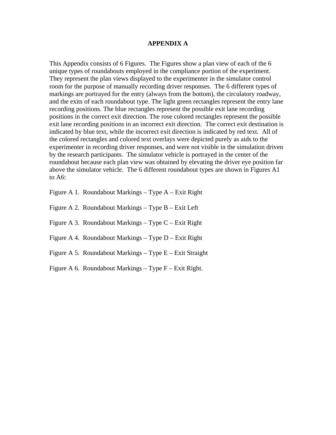#### **APPENDIX A**

This Appendix consists of 6 Figures. The Figures show a plan view of each of the 6 unique types of roundabouts employed in the compliance portion of the experiment. They represent the plan views displayed to the experimenter in the simulator control room for the purpose of manually recording driver responses. The 6 different types of markings are portrayed for the entry (always from the bottom), the circulatory roadway, and the exits of each roundabout type. The light green rectangles represent the entry lane recording positions. The blue rectangles represent the possible exit lane recording positions in the correct exit direction. The rose colored rectangles represent the possible exit lane recording positions in an incorrect exit direction. The correct exit destination is indicated by blue text, while the incorrect exit direction is indicated by red text. All of the colored rectangles and colored text overlays were depicted purely as aids to the experimenter in recording driver responses, and were not visible in the simulation driven by the research participants. The simulator vehicle is portrayed in the center of the roundabout because each plan view was obtained by elevating the driver eye position far above the simulator vehicle. The 6 different roundabout types are shown in Figures A1 to A6:

Figure A 1. Roundabout Markings – Type A – Exit Right

Figure A 2. Roundabout Markings – Type B – Exit Left

Figure A 3. Roundabout Markings – Type C – Exit Right

Figure A 4. Roundabout Markings – Type D – Exit Right

Figure A 5. Roundabout Markings – Type  $E -$  Exit Straight

Figure A 6. Roundabout Markings – Type  $F$  – Exit Right.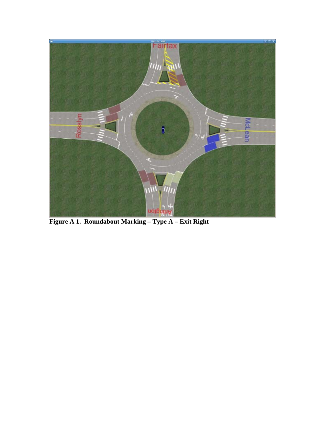

**Figure A 1. Roundabout Marking – Type A – Exit Right**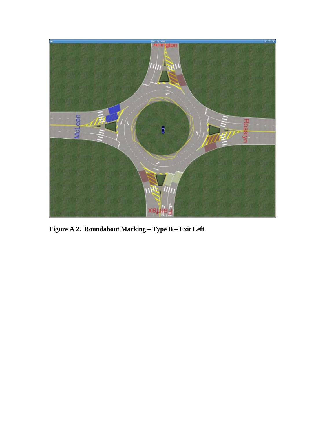

**Figure A 2. Roundabout Marking – Type B – Exit Left**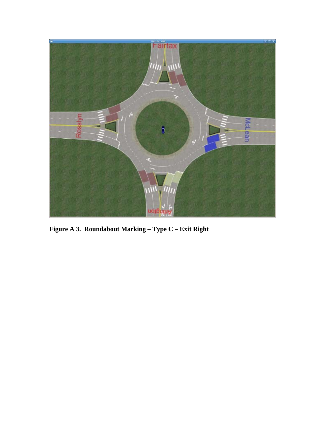

**Figure A 3. Roundabout Marking – Type C – Exit Right**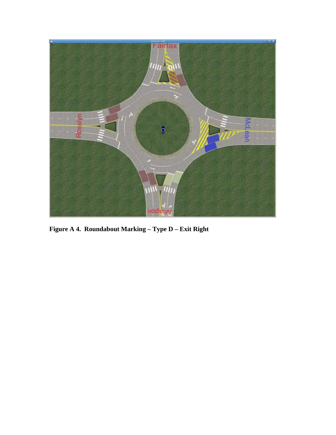

**Figure A 4. Roundabout Marking – Type D – Exit Right**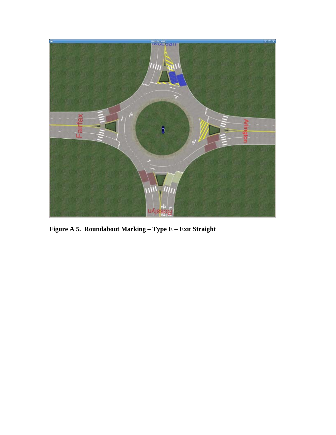

**Figure A 5. Roundabout Marking – Type E – Exit Straight**